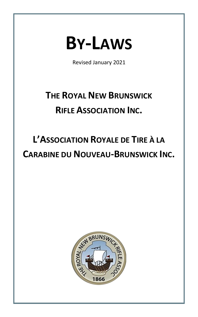

Revised January 2021

# **THE ROYAL NEW BRUNSWICK RIFLE ASSOCIATION INC.**

# **L'ASSOCIATION ROYALE DE TIRE À LA CARABINE DU NOUVEAU-BRUNSWICK INC.**

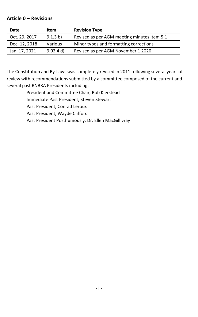### <span id="page-1-0"></span>**Article 0 – Revisions**

| Date          | Item      | <b>Revision Type</b>                        |
|---------------|-----------|---------------------------------------------|
| Oct. 29, 2017 | 9.1.3 b)  | Revised as per AGM meeting minutes Item 5.1 |
| Dec. 12, 2018 | Various   | Minor typos and formatting corrections      |
| Jan. 17, 2021 | 9.02.4 d) | Revised as per AGM November 1 2020          |

The Constitution and By-Laws was completely revised in 2011 following several years of review with recommendations submitted by a committee composed of the current and several past RNBRA Presidents including:

> President and Committee Chair, Bob Kierstead Immediate Past President, Steven Stewart Past President, Conrad Leroux Past President, Wayde Clifford Past President Posthumously, Dr. Ellen MacGillivray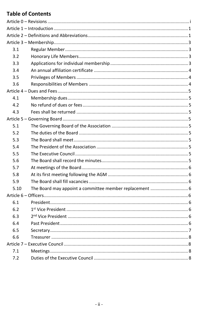# **Table of Contents**

| 3.1  |  |  |  |
|------|--|--|--|
| 3.2  |  |  |  |
| 3.3  |  |  |  |
| 3.4  |  |  |  |
| 3.5  |  |  |  |
| 3.6  |  |  |  |
|      |  |  |  |
| 4.1  |  |  |  |
| 4.2  |  |  |  |
| 4.3  |  |  |  |
|      |  |  |  |
| 5.1  |  |  |  |
| 5.2  |  |  |  |
| 5.3  |  |  |  |
| 5.4  |  |  |  |
| 5.5  |  |  |  |
| 5.6  |  |  |  |
| 5.7  |  |  |  |
| 5.8  |  |  |  |
| 5.9  |  |  |  |
| 5.10 |  |  |  |
|      |  |  |  |
| 6.1  |  |  |  |
| 6.2  |  |  |  |
| 6.3  |  |  |  |
| 6.4  |  |  |  |
| 6.5  |  |  |  |
| 6.6  |  |  |  |
|      |  |  |  |
| 7.1  |  |  |  |
| 7.2  |  |  |  |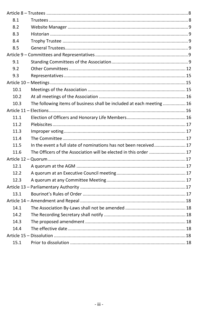| 8.1  |                                                                       |  |  |
|------|-----------------------------------------------------------------------|--|--|
| 8.2  |                                                                       |  |  |
| 8.3  |                                                                       |  |  |
| 8.4  |                                                                       |  |  |
| 8.5  |                                                                       |  |  |
|      |                                                                       |  |  |
| 9.1  |                                                                       |  |  |
| 9.2  |                                                                       |  |  |
| 9.3  |                                                                       |  |  |
|      |                                                                       |  |  |
| 10.1 |                                                                       |  |  |
| 10.2 |                                                                       |  |  |
| 10.3 | The following items of business shall be included at each meeting  16 |  |  |
|      |                                                                       |  |  |
| 11.1 |                                                                       |  |  |
| 11.2 |                                                                       |  |  |
| 11.3 |                                                                       |  |  |
| 11.4 |                                                                       |  |  |
| 11.5 | In the event a full slate of nominations has not been received 17     |  |  |
| 11.6 | The Officers of the Association will be elected in this order  17     |  |  |
|      |                                                                       |  |  |
| 12.1 |                                                                       |  |  |
| 12.2 |                                                                       |  |  |
| 12.3 |                                                                       |  |  |
|      |                                                                       |  |  |
| 13.1 |                                                                       |  |  |
|      |                                                                       |  |  |
| 14.1 |                                                                       |  |  |
| 14.2 |                                                                       |  |  |
| 14.3 |                                                                       |  |  |
| 14.4 |                                                                       |  |  |
|      |                                                                       |  |  |
| 15.1 |                                                                       |  |  |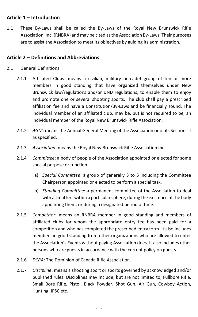# **Article 1 – Introduction**

1.1 These By-Laws shall be called the By-Laws of the Royal New Brunswick Rifle Association, Inc. (RNBRA) and may be cited as the Association By-Laws. Their purposes are to assist the Association to meet its objectives by guiding its administration.

# <span id="page-4-0"></span>**Article 2 – Definitions and Abbreviations**

- 2.1 General Definitions
	- 2.1.1 Affiliated Clubs: means a civilian, military or cadet group of ten or more members in good standing that have organized themselves under New Brunswick law/regulations and/or DND regulations, to enable them to enjoy and promote one or several shooting sports. The club shall pay a prescribed affiliation fee and have a Constitution/By-Laws and be financially sound. The individual member of an affiliated club, may be, but is not required to be, an individual member of the Royal New Brunswick Rifle Association.
	- 2.1.2 *AGM*: means the Annual General Meeting of the Association or of its Sections if as specified.
	- 2.1.3 *Association*: means the Royal New Brunswick Rifle Association Inc.
	- 2.1.4 *Committee*: a body of people of the Association appointed or elected for some special purpose or function.
		- a) *Special Committee*: a group of generally 3 to 5 including the Committee Chairperson appointed or elected to perform a special task.
		- b) *Standing Committee*: a permanent committee of the Association to deal with all matters within a particular sphere, during the existence of the body appointing them, or during a designated period of time.
	- 2.1.5 *Competitor*: means an RNBRA member in good standing and members of affiliated clubs for whom the appropriate entry fee has been paid for a competition and who has completed the prescribed entry form. It also includes members in good standing from other organizations who are allowed to enter the Association's Events without paying Association dues. It also includes other persons who are guests in accordance with the current policy on guests.
	- 2.1.6 *DCRA*: The Dominion of Canada Rifle Association.
	- 2.1.7 *Discipline*: means a shooting sport or sports governed by acknowledged and/or published rules. Disciplines may include, but are not limited to, Fullbore Rifle, Small Bore Rifle, Pistol, Black Powder, Shot Gun, Air Gun, Cowboy Action, Hunting, IPSC etc.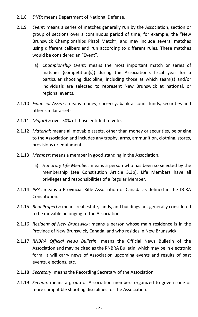- 2.1.8 *DND*: means Department of National Defense.
- 2.1.9 *Event*: means a series of matches generally run by the Association, section or group of sections over a continuous period of time; for example, the "New Brunswick Championships Pistol Match", and may include several matches using different calibers and run according to different rules. These matches would be considered an "Event".
	- a) *Championship Event*: means the most important match or series of matches {competition(s)} during the Association's fiscal year for a particular shooting discipline, including those at which team(s) and/or individuals are selected to represent New Brunswick at national, or regional events.
- 2.1.10 *Financial Assets*: means money, currency, bank account funds, securities and other similar assets.
- 2.1.11 *Majority*: over 50% of those entitled to vote.
- 2.1.12 *Material*: means all movable assets, other than money or securities, belonging to the Association and includes any trophy, arms, ammunition, clothing, stores, provisions or equipment.
- 2.1.13 *Member*: means a member in good standing in the Association.
	- a) *Honorary Life Member*: means a person who has been so selected by the membership (see Constitution Article 3.3b). Life Members have all privileges and responsibilities of a Regular Member.
- 2.1.14 *PRA*: means a Provincial Rifle Association of Canada as defined in the DCRA Constitution.
- 2.1.15 *Real Property*: means real estate, lands, and buildings not generally considered to be movable belonging to the Association.
- 2.1.16 *Resident of New Brunswick*: means a person whose main residence is in the Province of New Brunswick, Canada, and who resides in New Brunswick.
- 2.1.17 *RNBRA Official News Bulletin*: means the Official News Bulletin of the Association and may be cited as the RNBRA Bulletin, which may be in electronic form. It will carry news of Association upcoming events and results of past events, elections, etc.
- 2.1.18 *Secretary*: means the Recording Secretary of the Association.
- 2.1.19 *Section*: means a group of Association members organized to govern one or more compatible shooting disciplines for the Association.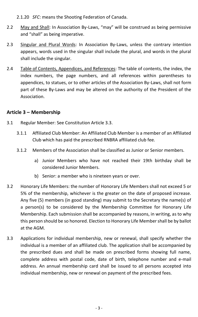2.1.20 *SFC*: means the Shooting Federation of Canada.

- 2.2 May and Shall: In Association By-Laws, "may" will be construed as being permissive and "shall" as being imperative.
- 2.3 Singular and Plural Words: In Association By-Laws, unless the contrary intention appears, words used in the singular shall include the plural, and words in the plural shall include the singular.
- 2.4 Table of Contents, Appendices, and References: The table of contents, the index, the index numbers, the page numbers, and all references within parentheses to appendices, to statues, or to other articles of the Association By-Laws, shall not form part of these By-Laws and may be altered on the authority of the President of the Association.

# <span id="page-6-0"></span>**Article 3 – Membership**

- <span id="page-6-1"></span>3.1 Regular Member: See Constitution Article 3.3.
	- 3.1.1 Affiliated Club Member: An Affiliated Club Member is a member of an Affiliated Club which has paid the prescribed RNBRA affiliated club fee.
	- 3.1.2 Members of the Association shall be classified as Junior or Senior members.
		- a) Junior Members who have not reached their 19th birthday shall be considered Junior Members.
		- b) Senior: a member who is nineteen years or over.
- <span id="page-6-2"></span>3.2 Honorary Life Members: the number of Honorary Life Members shall not exceed 5 or 5% of the membership, whichever is the greater on the date of proposed increase. Any five (5) members (in good standing) may submit to the Secretary the name(s) of a person(s) to be considered by the Membership Committee for Honorary Life Membership. Each submission shall be accompanied by reasons, in writing, as to why this person should be so honored. Election to Honorary Life Member shall be by ballot at the AGM.
- <span id="page-6-3"></span>3.3 Applications for individual membership, new or renewal, shall specify whether the individual is a member of an affiliated club. The application shall be accompanied by the prescribed dues and shall be made on prescribed forms showing full name, complete address with postal code, date of birth, telephone number and e-mail address. An annual membership card shall be issued to all persons accepted into individual membership, new or renewal on payment of the prescribed fees.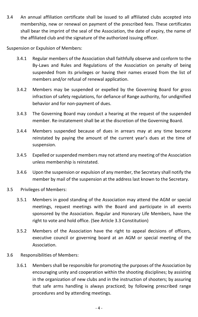<span id="page-7-0"></span>3.4 An annual affiliation certificate shall be issued to all affiliated clubs accepted into membership, new or renewal on payment of the prescribed fees. These certificates shall bear the imprint of the seal of the Association, the date of expiry, the name of the affiliated club and the signature of the authorized issuing officer.

Suspension or Expulsion of Members:

- 3.4.1 Regular members of the Association shall faithfully observe and conform to the By-Laws and Rules and Regulations of the Association on penalty of being suspended from its privileges or having their names erased from the list of members and/or refusal of renewal application.
- 3.4.2 Members may be suspended or expelled by the Governing Board for gross infraction of safety regulations, for defiance of Range authority, for undignified behavior and for non-payment of dues.
- 3.4.3 The Governing Board may conduct a hearing at the request of the suspended member. Re-instatement shall be at the discretion of the Governing Board.
- 3.4.4 Members suspended because of dues in arrears may at any time become reinstated by paying the amount of the current year's dues at the time of suspension.
- 3.4.5 Expelled or suspended members may not attend any meeting of the Association unless membership is reinstated.
- 3.4.6 Upon the suspension or expulsion of any member, the Secretary shall notify the member by mail of the suspension at the address last known to the Secretary.
- <span id="page-7-1"></span>3.5 Privileges of Members:
	- 3.5.1 Members in good standing of the Association may attend the AGM or special meetings, request meetings with the Board and participate in all events sponsored by the Association. Regular and Honorary Life Members, have the right to vote and hold office. (See Article 3.3 Constitution)
	- 3.5.2 Members of the Association have the right to appeal decisions of officers, executive council or governing board at an AGM or special meeting of the Association.
- <span id="page-7-2"></span>3.6 Responsibilities of Members:
	- 3.6.1 Members shall be responsible for promoting the purposes of the Association by encouraging unity and cooperation within the shooting disciplines; by assisting in the organization of new clubs and in the instruction of shooters; by assuring that safe arms handling is always practiced; by following prescribed range procedures and by attending meetings.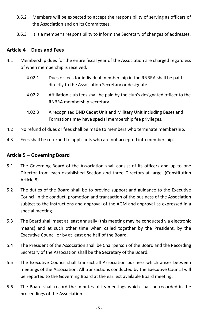- 3.6.2 Members will be expected to accept the responsibility of serving as officers of the Association and on its Committees.
- 3.6.3 It is a member's responsibility to inform the Secretary of changes of addresses.

#### <span id="page-8-0"></span>**Article 4 – Dues and Fees**

- <span id="page-8-1"></span>4.1 Membership dues for the entire fiscal year of the Association are charged regardless of when membership is received.
	- 4.02.1 Dues or fees for individual membership in the RNBRA shall be paid directly to the Association Secretary or designate.
	- 4.02.2 Affiliation club fees shall be paid by the club's designated officer to the RNBRA membership secretary.
	- 4.02.3 A recognized DND Cadet Unit and Military Unit including Bases and Formations may have special membership fee privileges.
- <span id="page-8-2"></span>4.2 No refund of dues or fees shall be made to members who terminate membership.
- <span id="page-8-4"></span><span id="page-8-3"></span>4.3 Fees shall be returned to applicants who are not accepted into membership.

#### **Article 5 – Governing Board**

- <span id="page-8-5"></span>5.1 The Governing Board of the Association shall consist of its officers and up to one Director from each established Section and three Directors at large. (Constitution Article 8)
- <span id="page-8-6"></span>5.2 The duties of the Board shall be to provide support and guidance to the Executive Council in the conduct, promotion and transaction of the business of the Association subject to the instructions and approval of the AGM and approval as expressed in a special meeting.
- <span id="page-8-7"></span>5.3 The Board shall meet at least annually (this meeting may be conducted via electronic means) and at such other time when called together by the President, by the Executive Council or by at least one half of the Board.
- <span id="page-8-8"></span>5.4 The President of the Association shall be Chairperson of the Board and the Recording Secretary of the Association shall be the Secretary of the Board.
- <span id="page-8-9"></span>5.5 The Executive Council shall transact all Association business which arises between meetings of the Association. All transactions conducted by the Executive Council will be reported to the Governing Board at the earliest available Board meeting.
- <span id="page-8-10"></span>5.6 The Board shall record the minutes of its meetings which shall be recorded in the proceedings of the Association.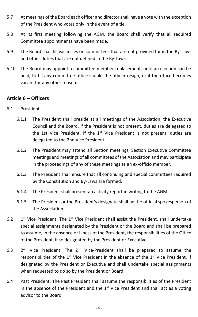- <span id="page-9-0"></span>5.7 At meetings of the Board each officer and director shall have a vote with the exception of the President who votes only in the event of a tie.
- <span id="page-9-1"></span>5.8 At its first meeting following the AGM, the Board shall verify that all required Committee appointments have been made.
- <span id="page-9-2"></span>5.9 The Board shall fill vacancies on committees that are not provided for in the By-Laws and other duties that are not defined in the By-Laws.
- <span id="page-9-3"></span>5.10 The Board may appoint a committee member replacement, until an election can be held, to fill any committee office should the officer resign, or if the office becomes vacant for any other reason.

# <span id="page-9-4"></span>**Article 6 – Officers**

- <span id="page-9-5"></span>6.1 President
	- 6.1.1 The President shall preside at all meetings of the Association, the Executive Council and the Board. If the President is not present, duties are delegated to the 1st Vice President. If the 1<sup>st</sup> Vice President is not present, duties are delegated to the 2nd Vice President.
	- 6.1.2 The President may attend all Section meetings, Section Executive Committee meetings and meetings of all committees of the Association and may participate in the proceedings of any of these meetings as an ex-officio member.
	- 6.1.3 The President shall ensure that all continuing and special committees required by the Constitution and By-Laws are formed.
	- 6.1.4 The President shall present an activity report in writing to the AGM.
	- 6.1.5 The President or the President's designate shall be the official spokesperson of the Association.
- <span id="page-9-6"></span> $6.2$ <sup>st</sup> Vice President: The 1<sup>st</sup> Vice President shall assist the President, shall undertake special assignments designated by the President or the Board and shall be prepared to assume, in the absence or illness of the President, the responsibilities of the Office of the President, if so designated by the President or Executive.
- <span id="page-9-7"></span>6.3 <sup>nd</sup> Vice President: The 2<sup>nd</sup> Vice-President shall be prepared to assume the responsibilities of the 1<sup>st</sup> Vice President in the absence of the 1<sup>st</sup> Vice President, if designated by the President or Executive and shall undertake special assignments when requested to do so by the President or Board.
- <span id="page-9-8"></span>6.4 Past President: The Past President shall assume the responsibilities of the President in the absence of the President and the  $1<sup>st</sup>$  Vice President and shall act as a voting advisor to the Board.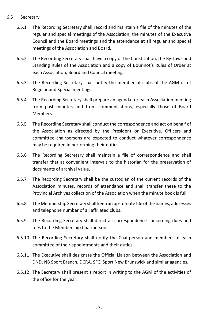#### <span id="page-10-0"></span>6.5 Secretary

- 6.5.1 The Recording Secretary shall record and maintain a file of the minutes of the regular and special meetings of the Association, the minutes of the Executive Council and the Board meetings and the attendance at all regular and special meetings of the Association and Board.
- 6.5.2 The Recording Secretary shall have a copy of the Constitution, the By-Laws and Standing Rules of the Association and a copy of Bourinot's Rules of Order at each Association, Board and Council meeting.
- 6.5.3 The Recording Secretary shall notify the member of clubs of the AGM or of Regular and Special meetings.
- 6.5.4 The Recording Secretary shall prepare an agenda for each Association meeting from past minutes and from communications, especially those of Board Members.
- 6.5.5 The Recording Secretary shall conduct the correspondence and act on behalf of the Association as directed by the President or Executive. Officers and committee chairpersons are expected to conduct whatever correspondence may be required in performing their duties.
- 6.5.6 The Recording Secretary shall maintain a file of correspondence and shall transfer that at convenient intervals to the historian for the preservation of documents of archival value.
- 6.5.7 The Recording Secretary shall be the custodian of the current records of the Association minutes, records of attendance and shall transfer these to the Provincial Archives collection of the Association when the minute book is full.
- 6.5.8 The Membership Secretary shall keep an up-to-date file of the names, addresses and telephone number of all affiliated clubs.
- 6.5.9 The Recording Secretary shall direct all correspondence concerning dues and fees to the Membership Chairperson.
- 6.5.10 The Recording Secretary shall notify the Chairperson and members of each committee of their appointments and their duties.
- 6.5.11 The Executive shall designate the Official Liaison between the Association and DND, NB Sport Branch, DCRA, SFC, Sport New Brunswick and similar agencies.
- <span id="page-10-1"></span>6.5.12 The Secretary shall present a report in writing to the AGM of the activities of the office for the year.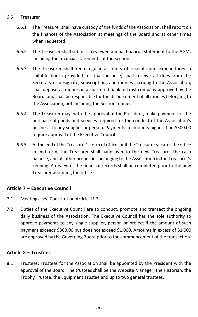#### 6.6 Treasurer

- 6.6.1 The Treasurer shall have custody of the funds of the Association, shall report on the finances of the Association at meetings of the Board and at other times when requested.
- 6.6.2 The Treasurer shall submit a reviewed annual financial statement to the AGM, including the financial statements of the Sections.
- 6.6.3 The Treasurer shall keep regular accounts of receipts and expenditures in suitable books provided for that purpose; shall receive all dues from the Secretary or designate, subscriptions and monies accruing to the Association; shall deposit all monies in a chartered bank or trust company approved by the Board; and shall be responsible for the disbursement of all monies belonging to the Association, not including the Section monies.
- 6.6.4 The Treasurer may, with the approval of the President, make payment for the purchase of goods and services required for the conduct of the Association's business, to any supplier or person. Payments in amounts higher than \$300.00 require approval of the Executive Council.
- 6.6.5 At the end of the Treasurer's term of office, or if the Treasurer vacates the office in mid-term, the Treasurer shall hand over to the new Treasurer the cash balance, and all other properties belonging to the Association in the Treasurer's keeping. A review of the financial records shall be completed prior to the new Treasurer assuming the office.

### <span id="page-11-0"></span>**Article 7 – Executive Council**

- <span id="page-11-1"></span>7.1 Meetings: see Constitution Article 11.3.
- <span id="page-11-2"></span>7.2 Duties of the Executive Council are to conduct, promote and transact the ongoing daily business of the Association. The Executive Council has the sole authority to approve payments to any single supplier, person or project if the amount of such payment exceeds \$300.00 but does not exceed \$1,000. Amounts in excess of \$1,000 are approved by the Governing Board prior to the commencement of the transaction.

### <span id="page-11-3"></span>**Article 8 – Trustees**

<span id="page-11-4"></span>8.1 Trustees: Trustees for the Association shall be appointed by the President with the approval of the Board. The trustees shall be the Website Manager, the Historian, the Trophy Trustee, the Equipment Trustee and up to two general trustees.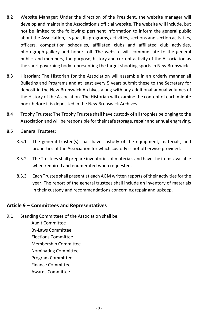- <span id="page-12-0"></span>8.2 Website Manager: Under the direction of the President, the website manager will develop and maintain the Association's official website. The website will include, but not be limited to the following: pertinent information to inform the general public about the Association, its goal, its programs, activities, sections and section activities, officers, competition schedules, affiliated clubs and affiliated club activities, photograph gallery and honor roll. The website will communicate to the general public, and members, the purpose, history and current activity of the Association as the sport governing body representing the target shooting sports in New Brunswick.
- <span id="page-12-1"></span>8.3 Historian: The Historian for the Association will assemble in an orderly manner all Bulletins and Programs and at least every 5 years submit these to the Secretary for deposit in the New Brunswick Archives along with any additional annual volumes of the History of the Association. The Historian will examine the content of each minute book before it is deposited in the New Brunswick Archives.
- <span id="page-12-2"></span>8.4 Trophy Trustee: The Trophy Trustee shall have custody of all trophies belonging to the Association and will be responsible for their safe storage, repair and annual engraving.
- <span id="page-12-3"></span>8.5 General Trustees:
	- 8.5.1 The general trustee(s) shall have custody of the equipment, materials, and properties of the Association for which custody is not otherwise provided.
	- 8.5.2 The Trustees shall prepare inventories of materials and have the items available when required and enumerated when requested.
	- 8.5.3 Each Trustee shall present at each AGM written reports of their activities for the year. The report of the general trustees shall include an inventory of materials in their custody and recommendations concerning repair and upkeep.

### <span id="page-12-4"></span>**Article 9 – Committees and Representatives**

<span id="page-12-5"></span>9.1 Standing Committees of the Association shall be:

Audit Committee By-Laws Committee

Elections Committee

Membership Committee

Nominating Committee

Program Committee

Finance Committee

Awards Committee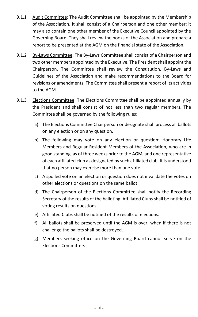- 9.1.1 Audit Committee: The Audit Committee shall be appointed by the Membership of the Association. It shall consist of a Chairperson and one other member; it may also contain one other member of the Executive Council appointed by the Governing Board. They shall review the books of the Association and prepare a report to be presented at the AGM on the financial state of the Association.
- 9.1.2 By-Laws Committee: The By-Laws Committee shall consist of a Chairperson and two other members appointed by the Executive. The President shall appoint the Chairperson. The Committee shall review the Constitution, By-Laws and Guidelines of the Association and make recommendations to the Board for revisions or amendments. The Committee shall present a report of its activities to the AGM.
- 9.1.3 Elections Committee: The Elections Committee shall be appointed annually by the President and shall consist of not less than two regular members. The Committee shall be governed by the following rules:
	- a) The Elections Committee Chairperson or designate shall process all ballots on any election or on any question.
	- b) The following may vote on any election or question: Honorary Life Members and Regular Resident Members of the Association, who are in good standing, as of three weeks prior to the AGM, and one representative of each affiliated club as designated by such affiliated club. It is understood that no person may exercise more than one vote.
	- c) A spoiled vote on an election or question does not invalidate the votes on other elections or questions on the same ballot.
	- d) The Chairperson of the Elections Committee shall notify the Recording Secretary of the results of the balloting. Affiliated Clubs shall be notified of voting results on questions.
	- e) Affiliated Clubs shall be notified of the results of elections.
	- f) All ballots shall be preserved until the AGM is over, when if there is not challenge the ballots shall be destroyed.
	- g) Members seeking office on the Governing Board cannot serve on the Elections Committee.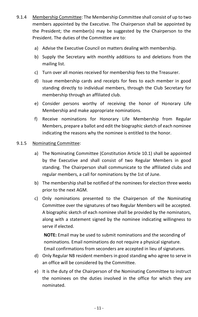- 9.1.4 Membership Committee: The Membership Committee shall consist of up to two members appointed by the Executive. The Chairperson shall be appointed by the President; the member(s) may be suggested by the Chairperson to the President. The duties of the Committee are to:
	- a) Advise the Executive Council on matters dealing with membership.
	- b) Supply the Secretary with monthly additions to and deletions from the mailing list.
	- c) Turn over all monies received for membership fees to the Treasurer.
	- d) Issue membership cards and receipts for fees to each member in good standing directly to individual members, through the Club Secretary for membership through an affiliated club.
	- e) Consider persons worthy of receiving the honor of Honorary Life Membership and make appropriate nominations.
	- f) Receive nominations for Honorary Life Membership from Regular Members, prepare a ballot and edit the biographic sketch of each nominee indicating the reasons why the nominee is entitled to the honor.

#### 9.1.5 Nominating Committee:

- a) The Nominating Committee (Constitution Article 10.1) shall be appointed by the Executive and shall consist of two Regular Members in good standing. The Chairperson shall communicate to the affiliated clubs and regular members, a call for nominations by the 1st of June.
- b) The membership shall be notified of the nominees for election three weeks prior to the next AGM.
- c) Only nominations presented to the Chairperson of the Nominating Committee over the signatures of two Regular Members will be accepted. A biographic sketch of each nominee shall be provided by the nominators, along with a statement signed by the nominee indicating willingness to serve if elected.

**NOTE:** Email may be used to submit nominations and the seconding of nominations. Email nominations do not require a physical signature. Email confirmations from seconders are accepted in lieu of signatures.

- d) Only Regular NB resident members in good standing who agree to serve in an office will be considered by the Committee.
- e) It is the duty of the Chairperson of the Nominating Committee to instruct the nominees on the duties involved in the office for which they are nominated.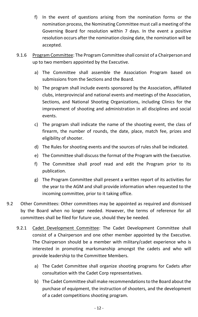- f) In the event of questions arising from the nomination forms or the nomination process, the Nominating Committee must call a meeting of the Governing Board for resolution within 7 days. In the event a positive resolution occurs after the nomination closing date, the nomination will be accepted.
- 9.1.6 Program Committee: The Program Committee shall consist of a Chairperson and up to two members appointed by the Executive.
	- a) The Committee shall assemble the Association Program based on submissions from the Sections and the Board.
	- b) The program shall include events sponsored by the Association, affiliated clubs, interprovincial and national events and meetings of the Association, Sections, and National Shooting Organizations, including Clinics for the improvement of shooting and administration in all disciplines and social events.
	- c) The program shall indicate the name of the shooting event, the class of firearm, the number of rounds, the date, place, match fee, prizes and eligibility of shooter.
	- d) The Rules for shooting events and the sources of rules shall be indicated.
	- e) The Committee shall discuss the format of the Program with the Executive.
	- f) The Committee shall proof read and edit the Program prior to its publication.
	- g) The Program Committee shall present a written report of its activities for the year to the AGM and shall provide information when requested to the incoming committee, prior to it taking office.
- <span id="page-15-0"></span>9.2 Other Committees: Other committees may be appointed as required and dismissed by the Board when no longer needed. However, the terms of reference for all committees shall be filed for future use, should they be needed.
	- 9.2.1 Cadet Development Committee: The Cadet Development Committee shall consist of a Chairperson and one other member appointed by the Executive. The Chairperson should be a member with military/cadet experience who is interested in promoting marksmanship amongst the cadets and who will provide leadership to the Committee Members.
		- a) The Cadet Committee shall organize shooting programs for Cadets after consultation with the Cadet Corp representatives.
		- b) The Cadet Committee shall make recommendations to the Board about the purchase of equipment, the instruction of shooters, and the development of a cadet competitions shooting program.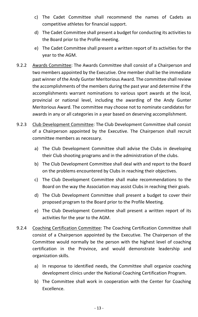- c) The Cadet Committee shall recommend the names of Cadets as competitive athletes for financial support.
- d) The Cadet Committee shall present a budget for conducting its activities to the Board prior to the Profile meeting.
- e) The Cadet Committee shall present a written report of its activities for the year to the AGM.
- 9.2.2 Awards Committee: The Awards Committee shall consist of a Chairperson and two members appointed by the Executive. One member shall be the immediate past winner of the Andy Gunter Meritorious Award. The committee shall review the accomplishments of the members during the past year and determine if the accomplishments warrant nominations to various sport awards at the local, provincial or national level, including the awarding of the Andy Gunter Meritorious Award. The committee may choose not to nominate candidates for awards in any or all categories in a year based on deserving accomplishment.
- 9.2.3 Club Development Committee: The Club Development Committee shall consist of a Chairperson appointed by the Executive. The Chairperson shall recruit committee members as necessary.
	- a) The Club Development Committee shall advise the Clubs in developing their Club shooting programs and in the administration of the clubs.
	- b) The Club Development Committee shall deal with and report to the Board on the problems encountered by Clubs in reaching their objectives.
	- c) The Club Development Committee shall make recommendations to the Board on the way the Association may assist Clubs in reaching their goals.
	- d) The Club Development Committee shall present a budget to cover their proposed program to the Board prior to the Profile Meeting.
	- e) The Club Development Committee shall present a written report of its activities for the year to the AGM.
- 9.2.4 Coaching Certification Committee: The Coaching Certification Committee shall consist of a Chairperson appointed by the Executive. The Chairperson of the Committee would normally be the person with the highest level of coaching certification in the Province, and would demonstrate leadership and organization skills.
	- a) In response to identified needs, the Committee shall organize coaching development clinics under the National Coaching Certification Program.
	- b) The Committee shall work in cooperation with the Center for Coaching Excellence.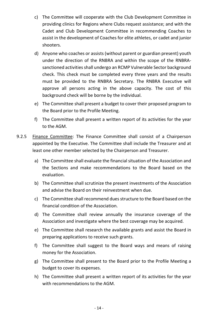- c) The Committee will cooperate with the Club Development Committee in providing clinics for Regions where Clubs request assistance; and with the Cadet and Club Development Committee in recommending Coaches to assist in the development of Coaches for elite athletes, or cadet and junior shooters.
- d) Anyone who coaches or assists (without parent or guardian present) youth under the direction of the RNBRA and within the scope of the RNBRAsanctioned activities shall undergo an RCMP Vulnerable Sector background check. This check must be completed every three years and the results must be provided to the RNBRA Secretary. The RNBRA Executive will approve all persons acting in the above capacity. The cost of this background check will be borne by the individual.
- e) The Committee shall present a budget to cover their proposed program to the Board prior to the Profile Meeting.
- f) The Committee shall present a written report of its activities for the year to the AGM.
- 9.2.5 Finance Committee: The Finance Committee shall consist of a Chairperson appointed by the Executive. The Committee shall include the Treasurer and at least one other member selected by the Chairperson and Treasurer.
	- a) The Committee shall evaluate the financial situation of the Association and the Sections and make recommendations to the Board based on the evaluation.
	- b) The Committee shall scrutinize the present investments of the Association and advise the Board on their reinvestment when due.
	- c) The Committee shall recommend dues structure to the Board based on the financial condition of the Association.
	- d) The Committee shall review annually the insurance coverage of the Association and investigate where the best coverage may be acquired.
	- e) The Committee shall research the available grants and assist the Board in preparing applications to receive such grants.
	- f) The Committee shall suggest to the Board ways and means of raising money for the Association.
	- g) The Committee shall present to the Board prior to the Profile Meeting a budget to cover its expenses.
	- h) The Committee shall present a written report of its activities for the year with recommendations to the AGM.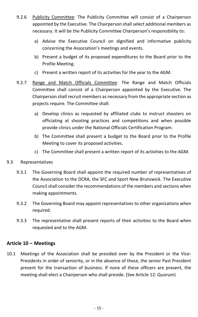- 9.2.6 Publicity Committee: The Publicity Committee will consist of a Chairperson appointed by the Executive. The Chairperson shall select additional members as necessary. It will be the Publicity Committee Chairperson's responsibility to:
	- a) Advise the Executive Council on dignified and informative publicity concerning the Association's meetings and events.
	- b) Present a budget of its proposed expenditures to the Board prior to the Profile Meeting.
	- c) Present a written report of its activities for the year to the AGM.
- 9.2.7 Range and Match Officials Committee: The Range and Match Officials Committee shall consist of a Chairperson appointed by the Executive. The Chairperson shall recruit members as necessary from the appropriate section as projects require. The Committee shall:
	- a) Develop clinics as requested by affiliated clubs to instruct shooters on officiating at shooting practices and competitions and when possible provide clinics under the National Officials Certification Program.
	- b) The Committee shall present a budget to the Board prior to the Profile Meeting to cover its proposed activities.
	- c) The Committee shall present a written report of its activities to the AGM.

#### <span id="page-18-0"></span>9.3 Representatives

- 9.3.1 The Governing Board shall appoint the required number of representatives of the Association to the DCRA, the SFC and Sport New Brunswick. The Executive Council shall consider the recommendations of the members and sections when making appointments.
- 9.3.2 The Governing Board may appoint representatives to other organizations when required.
- 9.3.3 The representative shall present reports of their activities to the Board when requested and to the AGM.

#### <span id="page-18-1"></span>**Article 10 – Meetings**

<span id="page-18-2"></span>10.1 Meetings of the Association shall be presided over by the President or the Vice-Presidents in order of seniority, or in the absence of these, the senior Past President present for the transaction of business. If none of these officers are present, the meeting shall elect a Chairperson who shall preside. (See Article 12: Quorum)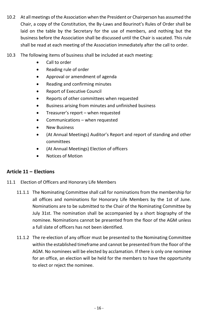- <span id="page-19-0"></span>10.2 At all meetings of the Association when the President or Chairperson has assumed the Chair, a copy of the Constitution, the By-Laws and Bourinot's Rules of Order shall be laid on the table by the Secretary for the use of members, and nothing but the business before the Association shall be discussed until the Chair is vacated. This rule shall be read at each meeting of the Association immediately after the call to order.
- <span id="page-19-1"></span>10.3 The following items of business shall be included at each meeting:
	- Call to order
	- Reading rule of order
	- Approval or amendment of agenda
	- Reading and confirming minutes
	- Report of Executive Council
	- Reports of other committees when requested
	- Business arising from minutes and unfinished business
	- Treasurer's report when requested
	- Communications when requested
	- New Business
	- (At Annual Meetings) Auditor's Report and report of standing and other committees
	- (At Annual Meetings) Election of officers
	- Notices of Motion

### <span id="page-19-2"></span>**Article 11 – Elections**

- <span id="page-19-3"></span>11.1 Election of Officers and Honorary Life Members
	- 11.1.1 The Nominating Committee shall call for nominations from the membership for all offices and nominations for Honorary Life Members by the 1st of June. Nominations are to be submitted to the Chair of the Nominating Committee by July 31st. The nomination shall be accompanied by a short biography of the nominee. Nominations cannot be presented from the floor of the AGM unless a full slate of officers has not been identified.
	- 11.1.2 The re-election of any officer must be presented to the Nominating Committee within the established timeframe and cannot be presented from the floor of the AGM. No nominees will be elected by acclamation. If there is only one nominee for an office, an election will be held for the members to have the opportunity to elect or reject the nominee.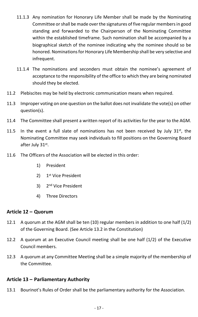- 11.1.3 Any nomination for Honorary Life Member shall be made by the Nominating Committee or shall be made over the signatures of five regular members in good standing and forwarded to the Chairperson of the Nominating Committee within the established timeframe. Such nomination shall be accompanied by a biographical sketch of the nominee indicating why the nominee should so be honored. Nominations for Honorary Life Membership shall be very selective and infrequent.
- 11.1.4 The nominations and seconders must obtain the nominee's agreement of acceptance to the responsibility of the office to which they are being nominated should they be elected.
- <span id="page-20-0"></span>11.2 Plebiscites may be held by electronic communication means when required.
- <span id="page-20-1"></span>11.3 Improper voting on one question on the ballot does not invalidate the vote(s) on other question(s).
- <span id="page-20-2"></span>11.4 The Committee shall present a written report of its activities for the year to the AGM.
- <span id="page-20-3"></span>11.5 In the event a full slate of nominations has not been received by July  $31^{st}$ , the Nominating Committee may seek individuals to fill positions on the Governing Board after July 31st.
- <span id="page-20-4"></span>11.6 The Officers of the Association will be elected in this order:
	- 1) President
	- 2) 1<sup>st</sup> Vice President
	- 3) 2<sup>nd</sup> Vice President
	- 4) Three Directors

#### <span id="page-20-5"></span>**Article 12 – Quorum**

- <span id="page-20-6"></span>12.1 A quorum at the AGM shall be ten (10) regular members in addition to one half (1/2) of the Governing Board. (See Article 13.2 in the Constitution)
- <span id="page-20-7"></span>12.2 A quorum at an Executive Council meeting shall be one half (1/2) of the Executive Council members.
- <span id="page-20-8"></span>12.3 A quorum at any Committee Meeting shall be a simple majority of the membership of the Committee.

#### <span id="page-20-9"></span>**Article 13 – Parliamentary Authority**

<span id="page-20-10"></span>13.1 Bourinot's Rules of Order shall be the parliamentary authority for the Association.